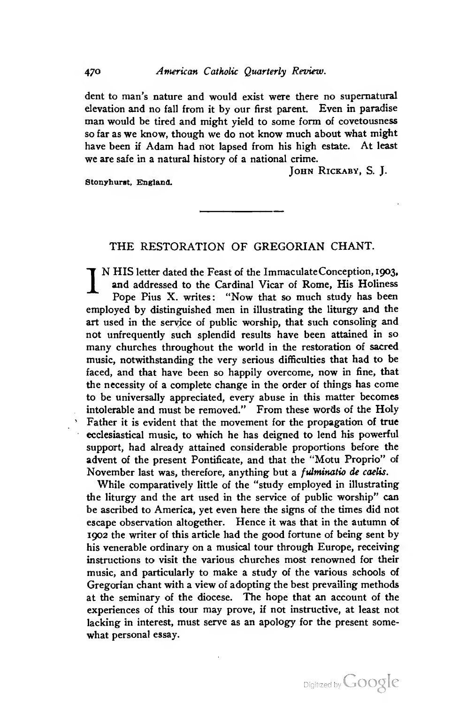dent to man's nature and would exist were there no supernatural elevation and no fall from it by our first parent. Even in paradise man would be tired and might yield to some form of covetousness so far as we know, though we do not know much about what might have been if Adam had not lapsed from his high estate. At least we are safe in a natural history of a national crime.

JOHN RICKABY, S. J.

Stonyhurst, England.

## THE RESTORATION OF GREGORIAN CHANT.

N HIS letter dated the Feast of the Immaculate Conception, 1903, and addressed to the Cardinal Vicar of Rome, His Holiness Pope Pius X. writes: "Now that so much study has been employed by distinguished men in illustrating the liturgy and the art used in the service of public worship, that such consoling and not unfrequently such splendid results have been attained in so many churches throughout the world in the restoration of sacred music, notwithstanding the very serious difhculties that had to be faced, and that have been so happily overcome, now in fine, that the necessity of a complete change in the order of things has come to be universally appreciated, every abuse in this matter becomes intolerable and must be removed." From these words of the Holy Father it is evident that the movement for the propagation of true ecclesiastical music, to which he has deigned to lend his powerful support, had already attained considerable proportions before the advent of the present Pontificate, and that the "Motu Proprio" of November last was, therefore, anything but a *fulminatio de caelis*.

While comparatively little of the "study employed in illustrating the liturgy and the art used in the service of public worship" can be ascribed to America, yet even here the signs of the times did not escape observation altogether. Hence it was that in the autumn of 1902 the writer of this article had the good fortune of being sent by his venerable ordinary on a musical tour through Europe, receiving instructions to visit the various churches most renowned for their music, and particularly to make a study of the various schools of Gregorian chant with a view of adopting the best prevailing methods at the seminary of the diocese. The hope that an account of the experiences of this tour may prove, if not instructive, at least not lacking in interest, must serve as an apology for the present some what personal essay.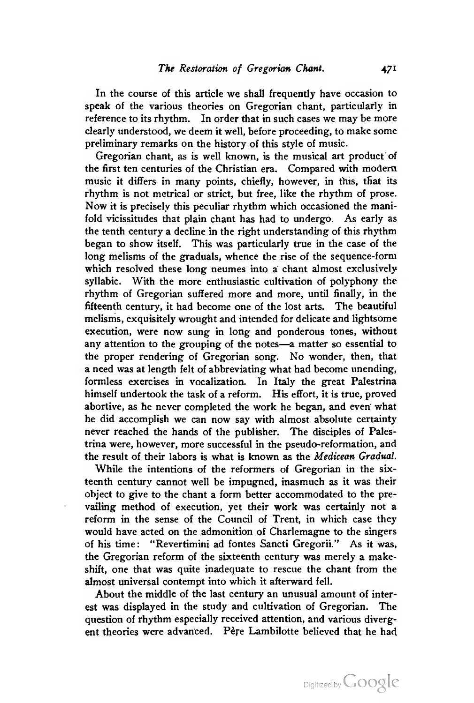In the course of this article we shall frequently have occasion to speak of the various theories on Gregorian chant, particularly in reference to its rhythm. In order that in such cases we may be more clearly understood, we deem it well, before proceeding, to make some preliminary remarks on the history of this style of music.

Gregorian chant, as is well known, is the musical art product of the first ten centuries of the Christian era. Compared with modem music it differs in many points, chiefly, however, in this, that its rhythm is not metrical or strict, but free, like the rhythm of prose. Now it is precisely this peculiar rhythm which occasioned the manifold vicissitudes that plain chant has had to undergo. As early as the tenth century a decline in the right understanding of this rhythm began to show itself. This was particularly true in the case of the long melisms of the graduals, whence the rise of the sequence-form which resolved these long neumes into a chant almost exclusively syllabic. With the more enthusiastic cultivation of polyphony the rhythm of Gregorian suffered more and more, until finally, in the fifteenth century, it had become one of the lost arts. The beautiful melisms, exquisitely wrought and intended for delicate and lightsome execution, were now sung in long and ponderous tones, without any attention to the grouping of the notes—<sup>a</sup> matter so essential to the proper rendering of Gregorian song. No wonder, then, that a need was at length felt of abbreviating what had become unending, formless exercises in vocalization. In Italy the great Palestrina himself undertook the task of a reform. His effort, it is true, proved abortive, as he never completed the work he began, and even what he did accomplish we can now say with almost absolute certainty never reached the hands of the publisher. The disciples of Palestrina were, however, more successful in the pseudo-reformation, and the result of their labors is what is known as the Medicean Gradual.

While the intentions of the reformers of Gregorian in the six teenth century cannot well be impugned, inasmuch as it was their object to give to the chant a form better accommodated to the prevailing method of execution, yet their work was certainly not a reform in the sense of the Council of Trent, in which case they would have acted on the admonition of Charlemagne to the singers of his time: "Revertimini ad fontes Sancti Gregorii." As it was, the Gregorian reform of the sixteenth century was merely a makeshift, one that was quite inadequate to rescue the chant from the almost universal contempt into which it afterward fell.

About the middle of the last century an unusual amount of interest was displayed in the study and cultivation of Gregorian. The question of rhythm especially received attention, and various diverg ent theories were advanced. Père Lambilotte believed that he had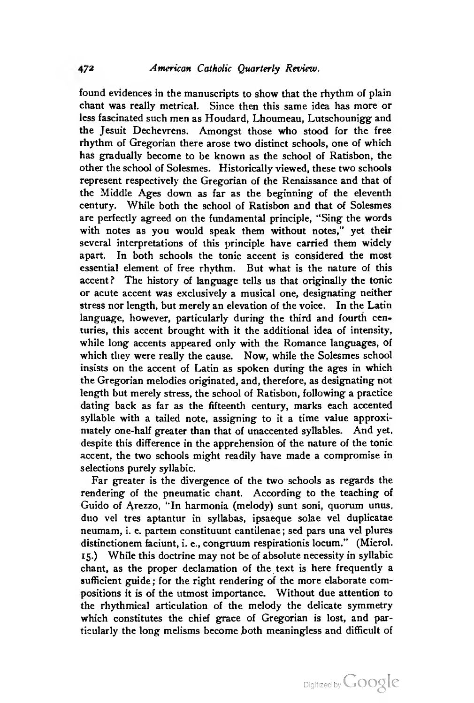found evidences in the manuscripts to show that the rhythm of plain chant was really metrical. Since then this same idea has more or less fascinated such men as Houdard, Lhoumeau, Lutschounigg and the Jesuit Dechevrens. Amongst those who stood for the free rhythm of Gregorian there arose two distinct schools, one of which has gradually become to be known as the school of Ratisbon, the other the school of Solesmes. Historically viewed, these two schools represent respectively the Gregorian of the Renaissance and that of the Middle Ages down as far as the beginning of the eleventh century. While both the school of Ratisbon and that of Solesmes are perfectly agreed on the fundamental principle, "Sing the words with notes as you would speak them without notes," yet their several interpretations of this principle have carried them widely apart. In both schools the tonic accent is considered the most essential element of free rhythm. But what is the nature of this accent? The history of language tells us that originally the tonic or acute accent was exclusively a musical one, designating neither stress nor length, but merely an elevation of the voice. In the Latin language, however, particularly during the third and fourth centuries, this accent brought with it the additional idea of intensity, while long accents appeared only with the Romance languages, of which they were really the cause. Now, while the Solesmes school insists on the accent of Latin as spoken during the ages in which the Gregorian melodies originated, and, therefore, as designating not length but merely stress, the school of Ratisbon, following a practice dating back as far as the fifteenth century, marks each accented syllable with a tailed note, assigning to it a time value approximately one-half greater than that of unaccented syllables. And yet, despite this difference in the apprehension of the nature of the tonic accent, the two schools might readily have made a compromise in selections purely syllabic.

Far greater is the divergence of the two schools as regards the rendering of the pneumatic chant. According to the teaching of Guido of Arezzo, '"In harmonia (melody) sunt soni, quorum unus, duo vel tres aptantur in syllabas, ipsaeque solae vel duplicatae neumam, i. e. partem constituunt cantilenae ; sed pars una vel plures distinctionem faciunt, i. e., congruum respirationis locum." (Microl. 15.) While this doctrine may not be of absolute necessity in syllabic chant, as the proper declamation of the text is here frequently a sufficient guide ; for the right rendering of the more elaborate compositions it is of the utmost importance. Without due attention to the rhythmical articulation of the melody the delicate symmetry which constitutes the chief grace of Gregorian is lost, and particularly the long melisms become .both meaningless and difficult of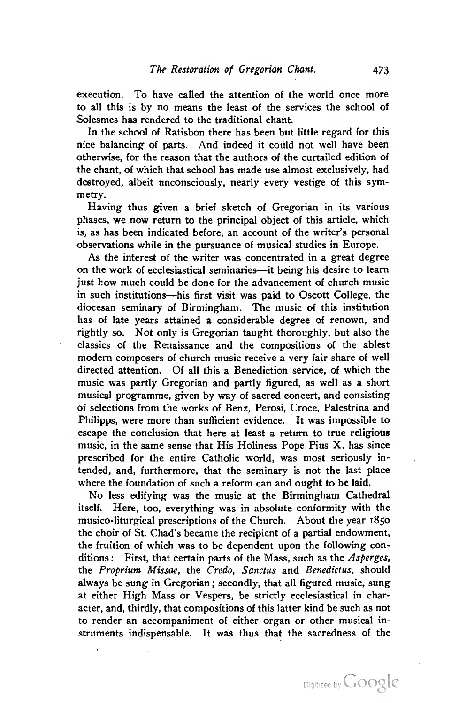execution. To have called the attention of the world once more to all this is by no means the least of the services the school of Solesmes has rendered to the traditional chant.

In the school of Ratisbon there has been but little regard for this nice balancing of parts. And indeed it could not well have been otherwise, for the reason that the authors of the curtailed edition of the chant, of which that school has made use almost exclusively, had destroyed, albeit unconsciously, nearly every vestige of this symmetry.

Having thus given a brief sketch of Gregorian in its various phases, we now return to the principal object of this article, which is, as has been indicated before, an account of the writer's personal observations while in the pursuance of musical studies in Europe.

As the interest of the writer was concentrated in a great degree on the work of ecclesiastical seminaries—it being his desire to learn just how much could be done for the advancement of church music in such institutions—his first visit was paid to Oscott College, the diocesan seminary of Birmingham. The music of this institution has of late years attained a considerable degree of renown, and rightly so. Not only is Gregorian taught thoroughly, but also the classics of the Renaissance and the compositions of the ablest modem composers of church music receive <sup>a</sup> very fair share of well directed attention. Of all this a Benediction service, of which the music was partly Gregorian and partly figured, as well as a short musical programme, given by way of sacred concert, and consisting of selections from the works of Benz, Perosi, Croce, Palestrina and Philipps, were more than sufficient evidence. It was impossible to escape the conclusion that here at least a return to true religious music, in the same sense that His Holiness Pope Pius X. has since prescribed for the entire Catholic world, was most seriously in tended, and, furthermore, that the seminary is not the last place where the foundation of such a reform can and ought to be laid.

No less edifying was the music at the Birmingham Cathedral itself. Here, too, everything was in absolute conformity with the musico-liturgical prescriptions of the Church. About the year 1850 the choir of St. Chad's became the recipient of a partial endowment, the fruition of which was to be dependent upon the following conditions: First, that certain parts of the Mass, such as the Asperges, the Proprium Missae, the Credo, Sanctus and Benedictus, should always be sung in Gregorian ; secondly, that all figured music, sung at either High Mass or Vespers, be strictly ecclesiastical in character, and, thirdly, that compositions of this latter kind be such as not to render an accompaniment of either organ or other musical in struments indispensable. It was thus that the sacredness of the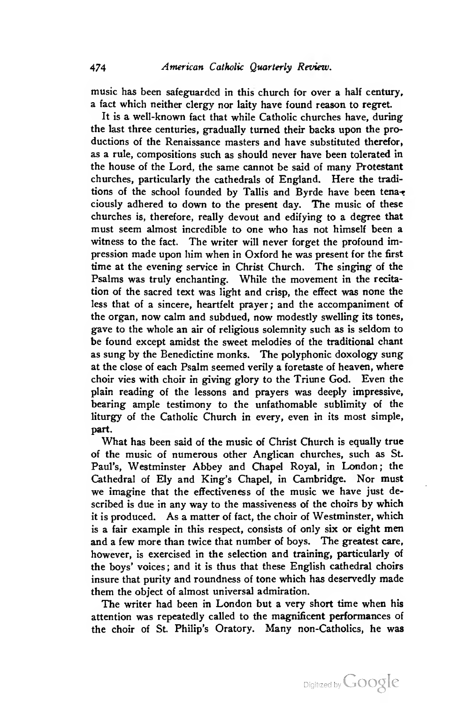music has been safeguarded in this church for over a half century, a fact which neither clergy nor laity have found reason to regret

It is a well-known fact that while Catholic churches have, during the last three centuries, gradually turned their backs upon the pro ductions of the Renaissance masters and have substituted therefor, as a rule, compositions such as should never have been tolerated in the house of the Lord, the same cannot be said of many Protestant churches, particularly the cathedrals of England. Here the tradi tions of the school founded by Tallis and Byrde have been tenaciously adhered to down to the present day. The music of these churches is, therefore, really devout and edifying to a degree that must seem almost incredible to one who has not himself been a witness to the fact. The writer will never forget the profound impression made upon him when in Oxford he was present for the first time at the evening service in Christ Church. The singing of the Psalms was truly enchanting. While the movement in the recita tion of the sacred text was light and crisp, the effect was none the less that of a sincere, heartfelt prayer; and the accompaniment of the organ, now calm and subdued, now modestly swelling its tones, gave to the whole an air of religious solemnity such as is seldom to be found except amidst the sweet melodies of the traditional chant as sung by the Benedictine monks. The polyphonic doxology sung at the close of each Psalm seemed verily a foretaste of heaven, where choir vies with choir in giving glory to the Triune God. Even the plain reading of the lessons and prayers was deeply impressive, bearing ample testimony to the unfathomable sublimity of the liturgy of the Catholic Church in every, even in its most simple, part.

What has been said of the music of Christ Church is equally true of the music of numerous other Anglican churches, such as St. Paul's, Westminster Abbey and Chapel Royal, in London; the Cathedral of Ely and King's Chapel, in Cambridge. Nor must we imagine that the effectiveness of the music we have just described is due in any way to the massiveness of the choirs by which it is produced. As a matter of fact, the choir of Westminster, which is a fair example in this respect, consists of only six or eight men and a few more than twice that number of boys. The greatest care, however, is exercised in the selection and training, particularly of the boys' voices ; and it is thus that these English cathedral choirs insure that purity and roundness of tone which has deservedly made them the object of almost universal admiration.

The writer had been in London but a very short time when his attention was repeatedly called to the magnificent performances of the choir of St. Philip's Oratory. Many non-Catholics, he was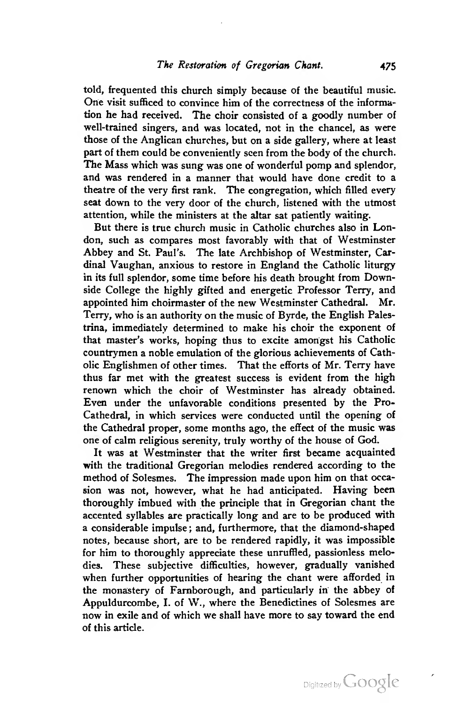told, frequented this church simply because of the beautiful music. One visit sufficed to convince him of the correctness of the information he had received. The choir consisted of a goodly number of well-trained singers, and was located, not in the chancel, as were those of the Anglican churches, but on a side gallery, where at least part of them could be conveniently seen from the body of the church. The Mass which was sung was one of wonderful pomp and splendor, and was rendered in a manner that would have done credit to a theatre of the very first rank. The congregation, which filled every seat down to the very door of the church, listened with the utmost attention, while the ministers at the altar sat patiently waiting.

But there is true church music in Catholic churches also in London, such as compares most favorably with that of Westminster Abbey and St. Paul's. The late Archbishop of Westminster, Cardinal Vaughan, anxious to restore in England the Catholic liturgy in its full splendor, some time before his death brought from Downside College the highly gifted and energetic Professor Terry, and appointed him choirmaster of the new Westminster Cathedral. Mr. Terry, who is an authority on the music of Byrde, the English Palestrina, immediately determined to make his choir the exponent of that master's works, hoping thus to excite amongst his Catholic countrymen a noble emulation of the glorious achievements of Catholic Englishmen of other times. That the efforts of Mr. Terry have thus far met with the greatest success is evident from the high renown which the choir of Westminster has already obtained. Even under the unfavorable conditions presented by the Pro-Cathedral, in which services were conducted until the opening of the Cathedral proper, some months ago, the effect of the music was one of calm religious serenity, truly worthy of the house of God.

It was at Westminster that the writer first became acquainted with the traditional Gregorian melodies rendered according to the method of Solesmes. The impression made upon him on that occasion was not, however, what he had anticipated. Having been thoroughly imbued with the principle that in Gregorian chant the accented syllables are practically long and are to be produced with a considerable impulse ; and, furthermore, that the diamond-shaped notes, because short, are to be rendered rapidly, it was impossible for him to thoroughly appreciate these unruffled, passionless melodies. These subjective difficulties, however, gradually vanished when further opportunities of hearing the chant were afforded in the monastery of Famborough, and particularly in the abbey of Appuldurcombe, I. of W., where the Benedictines of Solesmes are now in exile and of which we shall have more to say toward the end of this article.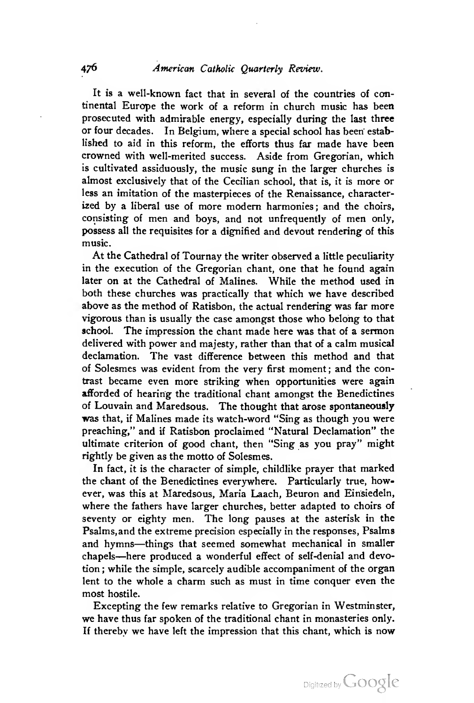It is a well-known fact that in several of the countries of continental Europe the work of a reform in church music has been prosecuted with admirable energy, especially during the last three or four decades. In Belgium, where a special school has been established to aid in this reform, the efforts thus far made have been crowned with well-merited success. Aside from Gregorian, which is cultivated assiduously, the music sung in the larger churches is almost exclusively that of the Cecilian school, that is, it is more or less an imitation of the masterpieces of the Renaissance, characterized by a liberal use of more modem harmonies; and the choirs, consisting of men and boys, and not unfrequently of men only, possess all the requisites for a dignified and devout rendering of this music.

At the Cathedral of Tournay the writer observed a little peculiarity in the execution of the Gregorian chant, one that he found again later on at the Cathedral of Malines. While the method used in both these churches was practically that which we have described above as the method of Ratisbon, the actual rendering was far more vigorous than is usually the case amongst those who belong to that school. The impression the chant made here was that of a sermon delivered with power and majesty, rather than that of a calm musical declamation. The vast difference between this method and that of Solesmes was evident from the very first moment ; and the contrast became even more striking when opportunities were again afforded of hearing the traditional chant amongst the Benedictines of Louvain and Maredsous. The thought that arose spontaneously was that, if Malines made its watch-word "Sing as though you were preaching," and if Ratisbon proclaimed "Natural Declamation" the ultimate criterion of good chant, then "Sing as you pray" might rightly be given as the motto of Solesmes.

In fact, it is the character of simple, childlike prayer that marked the chant of the Benedictines everywhere. Particularly true, however, was this at Maredsous, Maria Laach, Beuron and Einsiedeln, where the fathers have larger churches, better adapted to choirs of seventy or eighty men. The long pauses at the asterisk in the Psalms,and the extreme precision especially in the responses. Psalms and hymns—things that seemed somewhat mechanical in smaller chapels—here produced <sup>a</sup> wonderful effect of self-denial and devotion ; while the simple, scarcely audible accompaniment of the organ lent to the whole a charm such as must in time conquer even the most hostile.

Excepting the few remarks relative to Gregorian in Westminster, we have thus far spoken of the traditional chant in monasteries only. If thereby we have left the impression that this chant, which is now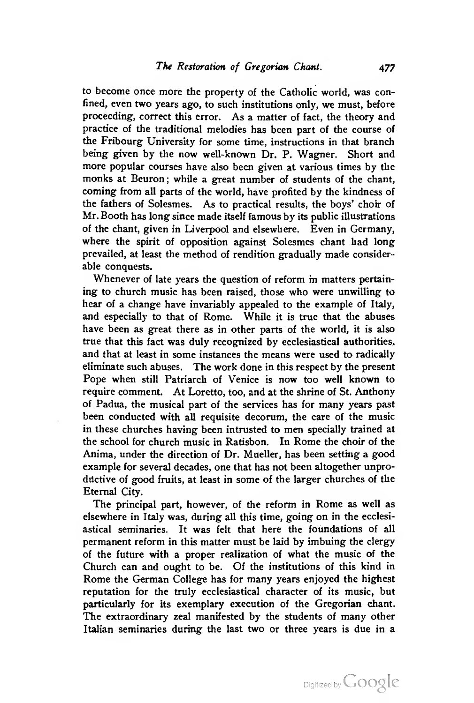to become once more the property of the Catholic world, was confined, even two years ago, to such institutions only, we must, before proceeding, correct this error. As a matter of fact, the theory and practice of the traditional melodies has been part of the course of the Fribourg University for some time, instructions in that branch being given by the now well-known Dr. P. Wagner. Short and more popular courses have also been given at various times by the monks at Beuron; while a great number of students of the chant, coming from all parts of the world, have profited by the kindness of the fathers of Solesmes. As to practical results, the boys' choir of Mr. Booth has long since made itself famous by its public illustrations of the chant, given in Liverpool and elsewhere. Even in Germany, where the spirit of opposition against Solesmes chant had long prevailed, at least the method of rendition gradually made considerable conquests.

Whenever of late years the question of reform in matters pertaining to church music has been raised, those who were unwilling to hear of a change have invariably appealed to the example of Italy, and especially to that of Rome. While it is true that the abuses have been as great there as in other parts of the world, it is also true that this fact was duly recognized by ecclesiastical authorities, and that at least in some instances the means were used to radically eliminate such abuses. The work done in this respect by the present Pope when still Patriarch of Venice is now too well known to require comment. At Loretto, too, and at the shrine of St. Anthony of Padua, the musical part of the services has for many years past been conducted with all requisite decorum, the care of the music in these churches having been intrusted to men specially trained at the school for church music in Ratisbon. In Rome the choir of the Anima, under the direction of Dr. Mueller, has been setting a good example for several decades, one that has not been altogether unproductive of good fruits, at least in some of the larger churches of the Eternal City.

The principal part, however, of the reform in Rome as well as elsewhere in Italy was, during all this time, going on in the ecclesiastical seminaries. It was felt that here the foundations of all permanent reform in this matter must be laid by imbuing the clergy of the future with a proper realization of what the music of the Church can and ought to be. Of the institutions of this kind in Rome the German College has for many years enjoyed the highest reputation for the truly ecclesiastical character of its music, but particularly for its exemplary execution of the Gregorian chant. The extraordinary zeal manifested by the students of many other Italian seminaries during the last two or three years is due in a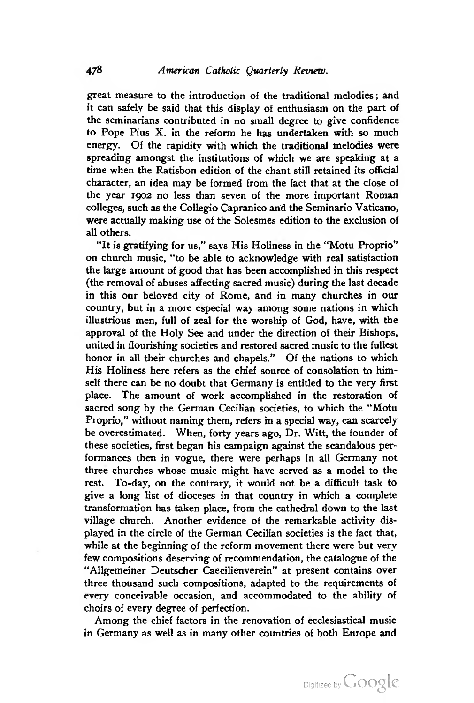great measure to the introduction of the traditional melodies; and it can safely be said that this display of enthusiasm on the part of the seminarians contributed in no small degree to give confidence to Pope Pius X. in the reform he has undertaken with so much energy. Of the rapidity with which the traditional melodies were spreading amongst the institutions of which we are speaking at a time when the Ratisbon edition of the chant still retained its official character, an idea may be formed from the fact that at the close of the year 1902 no less than seven of the more important Roman colleges, such as the Collegio Capranico and the Seminario Vaticano, were actually making use of the Solesmes edition to the exclusion of all others.

"It is gratifying for us," says His Holiness in the "Motu Proprio" on church music, "to be able to acknowledge with real satisfaction the large amount of good that has been accomplished in this respect (the removal of abuses affecting sacred music) during the last decade in this our beloved city of Rome, and in many churches in our country, but in a more especial way among some nations in which illustrious men, full of zeal for the worship of God, have, with the approval of the Holy See and under the direction of their Bishops, united in flourishing societies and restored sacred music to the fullest honor in all their churches and chapels." Of the nations to which His Holiness here refers as the chief source of consolation to himself there can be no doubt that Germany is entitled to the very first place. The amount of work accomplished in the restoration of sacred song by the German Cecilian societies, to which the "Motu Proprio," without naming them, refers in a special way, can scarcely be overestimated. When, forty years ago. Dr. Witt, the founder of these societies, first began his campaign against the scandalous per formances then in vogue, there were perhaps in all Germany not three churches whose music might have served as a model to the rest. To-day, on the contrary, it would not be a difficult task to give a long list of dioceses in that country in which a complete transformation has taken place, from the cathedral down to the last village church. Another evidence of the remarkable activity dis played in the circle of the German Cecilian societies is the fact that, while at the beginning of the reform movement there were but very few compositions deserving of recommendation, the catalogue of the "Allgemeiner Deutscher Caecilienverein" at present contains over three thousand such compositions, adapted to the requirements of every conceivable occasion, and accommodated to the ability of choirs of every degree of perfection.

Among the chief factors in the renovation of ecclesiastical music in Germany as well as in many other countries of both Europe and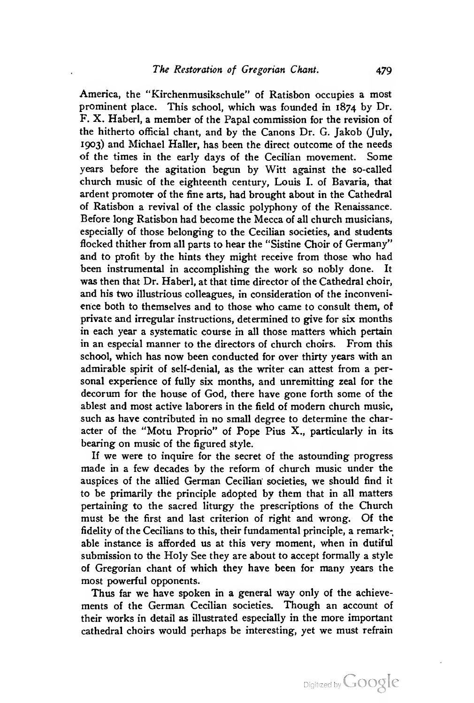America, the "Kirchenmusikschule" of Ratisbon occupies a most prominent place. This school, which was founded in 1874 by Dr. F. X. Haberl, a member of the Papal commission for the revision of the hitherto official chant, and by the Canons Dr. G. Jakob (July, 1903) and Michael Haller, has been the direct outcome of the needs of the times in the early days of the Cecilian movement. Some years before the agitation begun by Witt against the so-called church music of the eighteenth century, Louis I. of Bavaria, that ardent promoter of the fine arts, had brought about in the Cathedral of Ratisbon a revival of the classic polyphony of the Renaissance. Before long Ratisbon had become the Mecca of all church musicians, especially of those belonging to the Cecilian societies, and students flocked thither from all parts to hear the "Sistine Choir of Germany" and to profit by the hints they might receive from those who had been instrumental in accomplishing the work so nobly done. It was then that Dr. Haberl, at that time director of the Cathedral choir, and his two illustrious colleagues, in consideration of the inconveni ence both to themselves and to those who came to consult them, of private and irregular instructions, determined to give for six months in each year a systematic course in all those matters which pertain in an especial manner to the directors of church choirs. From this school, which has now been conducted for over thirty years with an admirable spirit of self-denial, as the writer can attest from a per sonal experience of fully six months, and unremitting zeal for the decorum for the house of God, there have gone forth some of the ablest and most active laborers in the field of modem church music, such as have contributed in no small degree to determine the character of the "Motu Proprio" of Pope Pius X., particularly in its bearing on music of the figured style.

If we were to inquire for the secret of the astounding progress made in a few decades by the reform of church music under the auspices of the allied German Cecilian' societies, we should find it to be primarily the principle adopted by them that in all matters pertaining to the sacred liturgy the prescriptions of the Church must be the first and last criterion of right and wrong. Of the fidelity of the Cecilians to this, their fundamental principle, a remarkable instance is afforded us at this very moment, when in dutiful submission to the Holy See they are about to accept formally a style of Gregorian chant of which they have been for many years the most powerful opponents.

Thus far we have spoken in a general way only of the achievements of the German Cecilian societies. Though an account of their works in detail as illustrated especially in the more important cathedral choirs would perhaps be interesting, yet we must refrain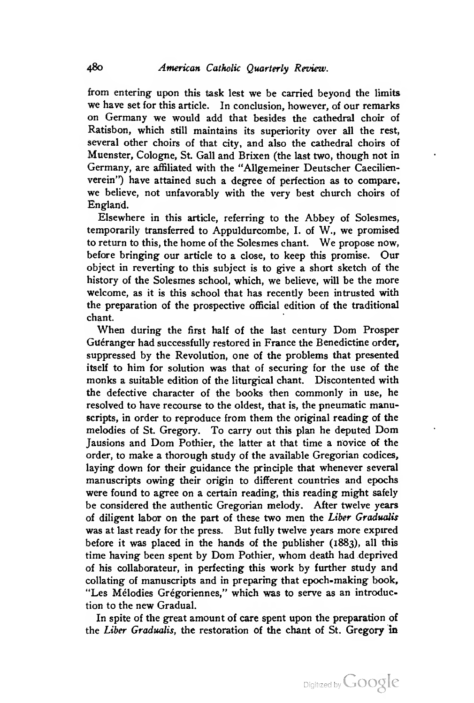from entering upon this task lest we be carried beyond the limits we have set for this article. In conclusion, however, of our remarks on Germany we would add that besides the cathedral choir of Ratisbon, which still maintains its superiority over all the rest, several other choirs of that city, and also the cathedral choirs of Muenster, Cologne, St. Gall and Brixen (the last two, though not in Germany, are affiliated with the "AUgemeiner Deutscher Caecilienverein") have attained such a degree of perfection as to compare, we believe, not unfavorably with the very best church choirs of England.

Elsewhere in this article, referring to the Abbey of Solesmes, temporarily transferred to Appuldurcombe, I. of W., we promised to return to this, the home of the Solesmes chant. We propose now, before bringing our article to a close, to keep this promise. Our object in reverting to this subject is to give a short sketch of the history of the Solesmes school, which, we believe, will be the more welcome, as it is this school that has recently been intrusted with the preparation of the prospective official edition of the traditional chant.

When during the first half of the last century Dom Prosper Guéranger had successfully restored in France the Benedictine order, suppressed by the Revolution, one of the problems that presented itself to him for solution was that of securing for the use of the monks a suitable edition of the liturgical chant. Discontented with the defective character of the books then commonly in use, he resolved to have recourse to the oldest, that is, the pneumatic manuscripts, in order to reproduce from them the original reading of the melodies of St. Gregory. To carry out this plan he deputed Dom Jausions and Dom Pothier, the latter at that time <sup>a</sup> novice of the order, to make a thorough study of the available Gregorian codices, laying down for their guidance the principle that whenever several manuscripts owing their origin to different countries and epochs were found to agree on a certain reading, this reading might safely be considered the authentic Gregorian melody. After twelve years of diligent labor on the part of these two men the Liber Gradualis was at last ready for the press. But fully twelve years more expired before it was placed in the hands of the publisher (1883), all this time having been spent by Dom Pothier, whom death had deprived of his collaborateur, in perfecting this work by further study and collating of manuscripts and in preparing that epoch-making book, "Les Mélodies Grégoriennes." which was to serve as an introduction to the new Gradual.

In spite of the great amount of care spent upon the preparation of the Liber Gradualis, the restoration of the chant of St. Gregory in